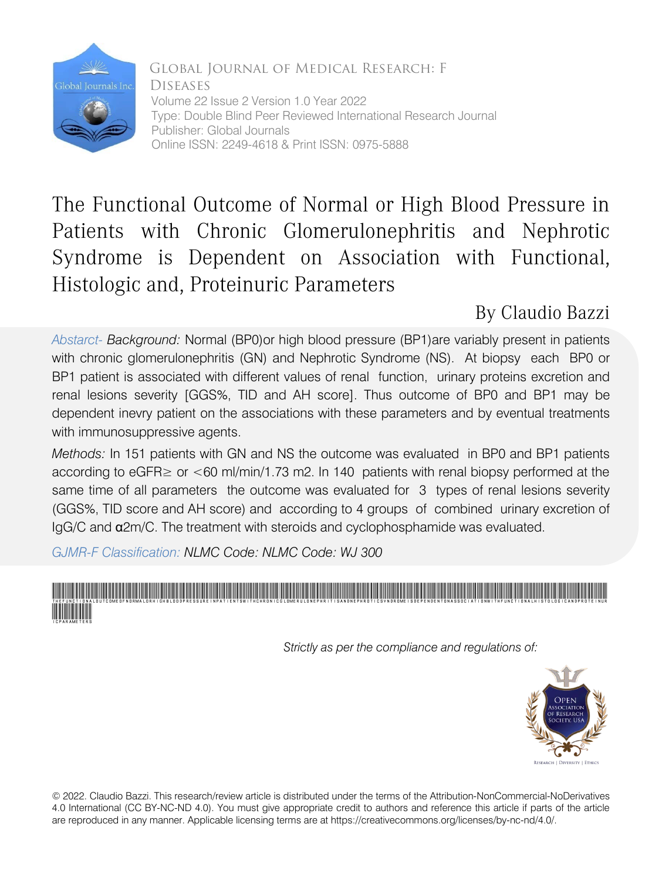

Global Journal of Medical Research: F Diseases Volume 22 Issue 2 Version 1.0 Year 2022 Type: Double Blind Peer Reviewed International Research Journal Publisher: Global Journals Online ISSN: 2249-4618 & Print ISSN: 0975-5888

# The Functional Outcome of Normal or High Blood Pressure in Patients with Chronic Glomerulonephritis and Nephrotic Syndrome is Dependent on Association with Functional, Histologic and, Proteinuric Parameters

## By Claudio Bazzi

*Abstarct- Background:* Normal (BP0)or high blood pressure (BP1)are variably present in patients with chronic glomerulonephritis (GN) and Nephrotic Syndrome (NS). At biopsy each BP0 or BP1 patient is associated with different values of renal function, urinary proteins excretion and renal lesions severity [GGS%, TID and AH score]. Thus outcome of BP0 and BP1 may be dependent inevry patient on the associations with these parameters and by eventual treatments with immunosuppressive agents.

*Methods:* In 151 patients with GN and NS the outcome was evaluated in BP0 and BP1 patients according to eGFR $\geq$  or  $\leq$  60 ml/min/1.73 m2. In 140 patients with renal biopsy performed at the same time of all parameters the outcome was evaluated for 3 types of renal lesions severity (GGS%, TID score and AH score) and according to 4 groups of combined urinary excretion of IgG/C and α2m/C. The treatment with steroids and cyclophosphamide was evaluated.

*GJMR-F Classification: NLMC Code: NLMC Code: WJ 300*



 *Strictly as per the compliance and regulations of:*



© 2022. Claudio Bazzi. This research/review article is distributed under the terms of the Attribution-NonCommercial-NoDerivatives 4.0 International (CC BY-NC-ND 4.0). You must give appropriate credit to authors and reference this article if parts of the article are reproduced in any manner. Applicable licensing terms are at https://creativecommons.org/licenses/by-nc-nd/4.0/.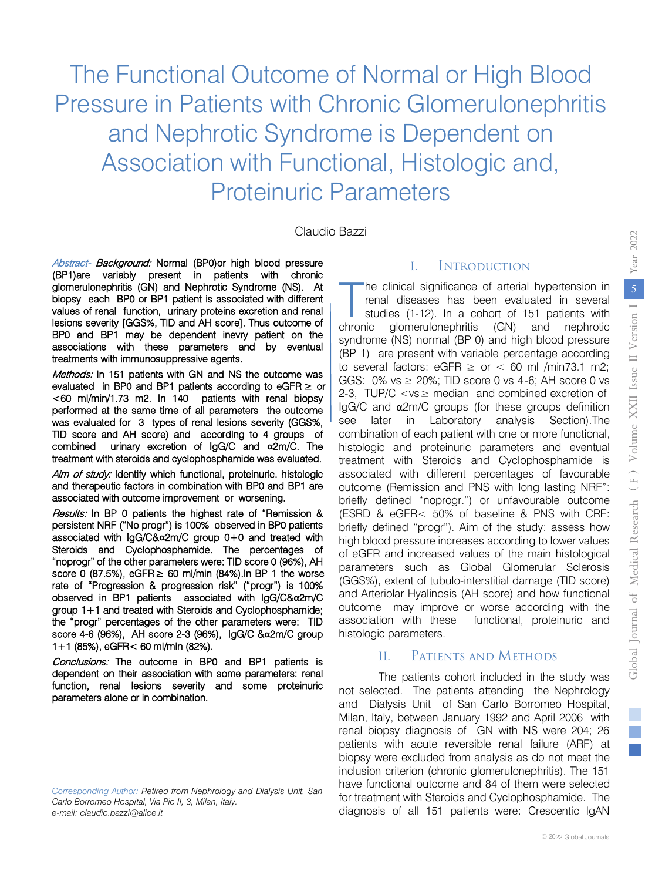The Functional Outcome of Normal or High Blood Pressure in Patients with Chronic Glomerulonephritis and Nephrotic Syndrome is Dependent on Association with Functional, Histologic and, Proteinuric Parameters

Claudio Bazzi

Abstract- Background: Normal (BP0)or high blood pressure (BP1)are variably present in patients with chronic glomerulonephritis (GN) and Nephrotic Syndrome (NS). At biopsy each BP0 or BP1 patient is associated with different values of renal function, urinary proteins excretion and renal lesions severity [GGS%, TID and AH score]. Thus outcome of BP0 and BP1 may be dependent inevry patient on the associations with these parameters and by eventual treatments with immunosuppressive agents.

Methods: In 151 patients with GN and NS the outcome was evaluated in BP0 and BP1 patients according to  $e$ GFR  $\geq$  or <60 ml/min/1.73 m2. In 140 patients with renal biopsy performed at the same time of all parameters the outcome was evaluated for 3 types of renal lesions severity (GGS%, TID score and AH score) and according to 4 groups of combined urinary excretion of IgG/C and **α**2m/C. The treatment with steroids and cyclophosphamide was evaluated.

Aim of study: Identify which functional, proteinuric. histologic and therapeutic factors in combination with BP0 and BP1 are associated with outcome improvement or worsening.

Results: In BP 0 patients the highest rate of "Remission & persistent NRF ("No progr") is 100% observed in BP0 patients associated with IgG/C&**α**2m/C group 0+0 and treated with Steroids and Cyclophosphamide. The percentages of "noprogr" of the other parameters were: TID score 0 (96%), AH score 0 (87.5%), eGFR $\geq$  60 ml/min (84%). In BP 1 the worse rate of "Progression & progression risk" ("progr") is 100% observed in BP1 patients associated with IgG/C&**α**2m/C group 1+1 and treated with Steroids and Cyclophosphamide; the "progr" percentages of the other parameters were: TID score 4-6 (96%), AH score 2-3 (96%), IgG/C &**α**2m/C group 1+1 (85%), eGFR< 60 ml/min (82%).

Conclusions: The outcome in BP0 and BP1 patients is dependent on their association with some parameters: renal function, renal lesions severity and some proteinuric parameters alone or in combination.

#### I. Introduction

he clinical significance of arterial hypertension in renal diseases has been evaluated in several studies (1-12). In a cohort of 151 patients with chronic glomerulonephritis (GN) and nephrotic syndrome (NS) normal (BP 0) and high blood pressure (BP 1) are present with variable percentage according to several factors: eGFR  $\ge$  or  $\lt$  60 ml /min73.1 m2; GGS:  $0\%$  vs  $\geq 20\%$ ; TID score 0 vs 4-6; AH score 0 vs 2-3. TUP/C  $\lt$ vs  $\geq$  median and combined excretion of IgG/C and α2m/C groups (for these groups definition see later in Laboratory analysis Section).The combination of each patient with one or more functional, histologic and proteinuric parameters and eventual treatment with Steroids and Cyclophosphamide is associated with different percentages of favourable outcome (Remission and PNS with long lasting NRF": briefly defined "noprogr.") or unfavourable outcome (ESRD & eGFR< 50% of baseline & PNS with CRF: briefly defined "progr"). Aim of the study: assess how high blood pressure increases according to lower values of eGFR and increased values of the main histological parameters such as Global Glomerular Sclerosis (GGS%), extent of tubulo-interstitial damage (TID score) and Arteriolar Hyalinosis (AH score) and how functional outcome may improve or worse according with the association with these functional, proteinuric and histologic parameters. BaZZI<br> **Example 1.** INTRODUCTION<br>
The clinical significance of arterial typertension in<br>
trenal diseases has been evaluated in several<br>
school gometrion-gometric (GN) and naphotic gometric<br>
syndrome (NS) normal (BP 0) and

## II. Patients and Methods

The patients cohort included in the study was not selected. The patients attending the Nephrology and Dialysis Unit of San Carlo Borromeo Hospital, Milan, Italy, between January 1992 and April 2006 with renal biopsy diagnosis of GN with NS were 204; 26 patients with acute reversible renal failure (ARF) at biopsy were excluded from analysis as do not meet the inclusion criterion (chronic glomerulonephritis). The 151 have functional outcome and 84 of them were selected for treatment with Steroids and Cyclophosphamide. The diagnosis of all 151 patients were: Crescentic IgAN

*Corresponding Author: Retired from Nephrology and Dialysis Unit, San Carlo Borromeo Hospital, Via Pio II, 3, Milan, Italy. e-mail: claudio.bazzi@alice.it*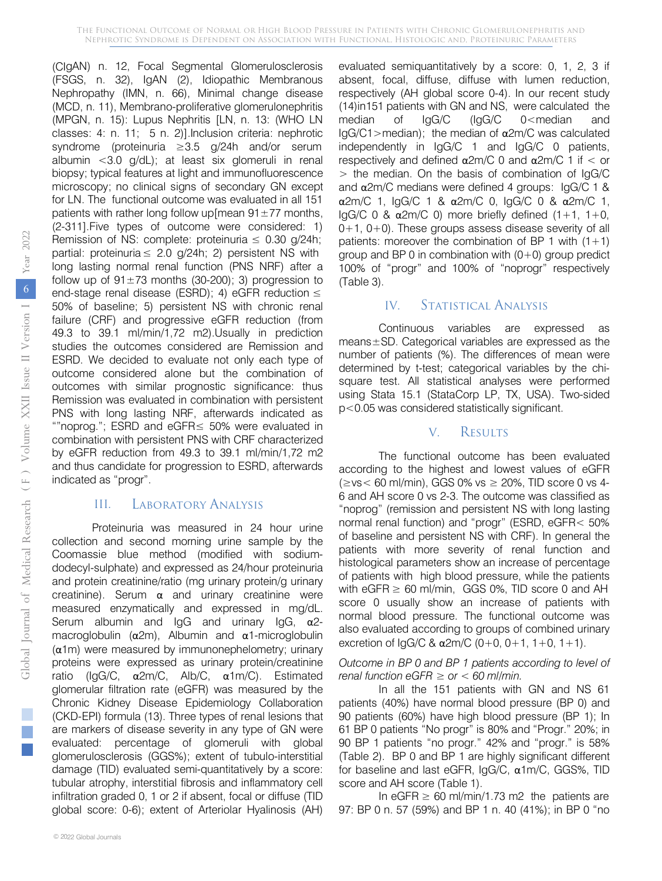(CIgAN) n. 12, Focal Segmental Glomerulosclerosis (FSGS, n. 32), IgAN (2), Idiopathic Membranous Nephropathy (IMN, n. 66), Minimal change disease (MCD, n. 11), Membrano-proliferative glomerulonephritis (MPGN, n. 15): Lupus Nephritis [LN, n. 13: (WHO LN classes: 4: n. 11; 5 n. 2)].Inclusion criteria: nephrotic syndrome (proteinuria ≥3.5 g/24h and/or serum albumin <3.0 g/dL); at least six glomeruli in renal biopsy; typical features at light and immunofluorescence microscopy; no clinical signs of secondary GN except for LN. The functional outcome was evaluated in all 151 patients with rather long follow up [mean  $91 \pm 77$  months, (2-311].Five types of outcome were considered: 1) Remission of NS: complete: proteinuria  $\leq$  0.30 g/24h; partial: proteinuria  $\leq$  2.0 g/24h; 2) persistent NS with long lasting normal renal function (PNS NRF) after a follow up of  $91 \pm 73$  months (30-200); 3) progression to end-stage renal disease (ESRD); 4) eGFR reduction  $\leq$ 50% of baseline; 5) persistent NS with chronic renal failure (CRF) and progressive eGFR reduction (from 49.3 to 39.1 ml/min/1,72 m2).Usually in prediction studies the outcomes considered are Remission and ESRD. We decided to evaluate not only each type of outcome considered alone but the combination of outcomes with similar prognostic significance: thus Remission was evaluated in combination with persistent PNS with long lasting NRF, afterwards indicated as ""noprog."; ESRD and eGFR≤ 50% were evaluated in combination with persistent PNS with CRF characterized by eGFR reduction from 49.3 to 39.1 ml/min/1,72 m2 and thus candidate for progression to ESRD, afterwards indicated as "progr".

## III. Laboratory Analysis

Proteinuria was measured in 24 hour urine collection and second morning urine sample by the Coomassie blue method (modified with sodiumdodecyl-sulphate) and expressed as 24/hour proteinuria and protein creatinine/ratio (mg urinary protein/g urinary creatinine). Serum  $\alpha$  and urinary creatinine were measured enzymatically and expressed in mg/dL. Serum albumin and IgG and urinary IgG, α2 macroglobulin (α2m), Albumin and α1-microglobulin (α1m) were measured by immunonephelometry; urinary proteins were expressed as urinary protein/creatinine ratio (IgG/C, α2m/C, Alb/C, α1m/C). Estimated glomerular filtration rate (eGFR) was measured by the Chronic Kidney Disease Epidemiology Collaboration (CKD-EPI) formula (13). Three types of renal lesions that are markers of disease severity in any type of GN were evaluated: percentage of glomeruli with global glomerulosclerosis (GGS%); extent of tubulo-interstitial damage (TID) evaluated semi-quantitatively by a score: tubular atrophy, interstitial fibrosis and inflammatory cell infiltration graded 0, 1 or 2 if absent, focal or diffuse (TID global score: 0-6); extent of Arteriolar Hyalinosis (AH)

evaluated semiquantitatively by a score: 0, 1, 2, 3 if absent, focal, diffuse, diffuse with lumen reduction, respectively (AH global score 0-4). In our recent study (14)in151 patients with GN and NS, were calculated the median of IgG/C (IgG/C 0<median and IgG/C1 > median); the median of  $\alpha$ 2m/C was calculated independently in IgG/C 1 and IgG/C 0 patients, respectively and defined  $α2m/C$  0 and  $α2m/C$  1 if  $\lt$  or > the median. On the basis of combination of IgG/C and  $α2m/C$  medians were defined 4 groups:  $IqG/C$  1 & α2m/C 1, IgG/C 1 & α2m/C 0, IgG/C 0 & α2m/C 1, IgG/C 0 &  $α2m/C$  0) more briefly defined  $(1+1, 1+0, 1)$  $0+1$ ,  $0+0$ ). These groups assess disease severity of all patients: moreover the combination of BP 1 with  $(1+1)$ group and BP 0 in combination with  $(0+0)$  group predict 100% of "progr" and 100% of "noprogr" respectively (Table 3).

### IV. STATISTICAL ANALYSIS

Continuous variables are expressed as means±SD. Categorical variables are expressed as the number of patients (%). The differences of mean were determined by t-test; categorical variables by the chisquare test. All statistical analyses were performed using Stata 15.1 (StataCorp LP, TX, USA). Two-sided p<0.05 was considered statistically significant.

#### V. Results

The functional outcome has been evaluated according to the highest and lowest values of eGFR  $(\geq v s < 60 \text{ ml/min})$ , GGS 0% vs  $\geq 20$ %, TID score 0 vs 4-6 and AH score 0 vs 2-3. The outcome was classified as "noprog" (remission and persistent NS with long lasting normal renal function) and "progr" (ESRD, eGFR< 50% of baseline and persistent NS with CRF). In general the patients with more severity of renal function and histological parameters show an increase of percentage of patients with high blood pressure, while the patients with eGFR  $\geq$  60 ml/min, GGS 0%, TID score 0 and AH score 0 usually show an increase of patients with normal blood pressure. The functional outcome was also evaluated according to groups of combined urinary excretion of IgG/C &  $\alpha$ 2m/C (0+0, 0+1, 1+0, 1+1).

#### *Outcome in BP 0 and BP 1 patients according to level of renal function eGFR ≥ or < 60 ml/min.*

In all the 151 patients with GN and NS 61 patients (40%) have normal blood pressure (BP 0) and 90 patients (60%) have high blood pressure (BP 1); In 61 BP 0 patients "No progr" is 80% and "Progr." 20%; in 90 BP 1 patients "no progr." 42% and "progr." is 58% (Table 2). BP 0 and BP 1 are highly significant different for baseline and last eGFR, IgG/C, α1m/C, GGS%, TID score and AH score (Table 1).

In eGFR  $\geq$  60 ml/min/1.73 m2 the patients are 97: BP 0 n. 57 (59%) and BP 1 n. 40 (41%); in BP 0 "no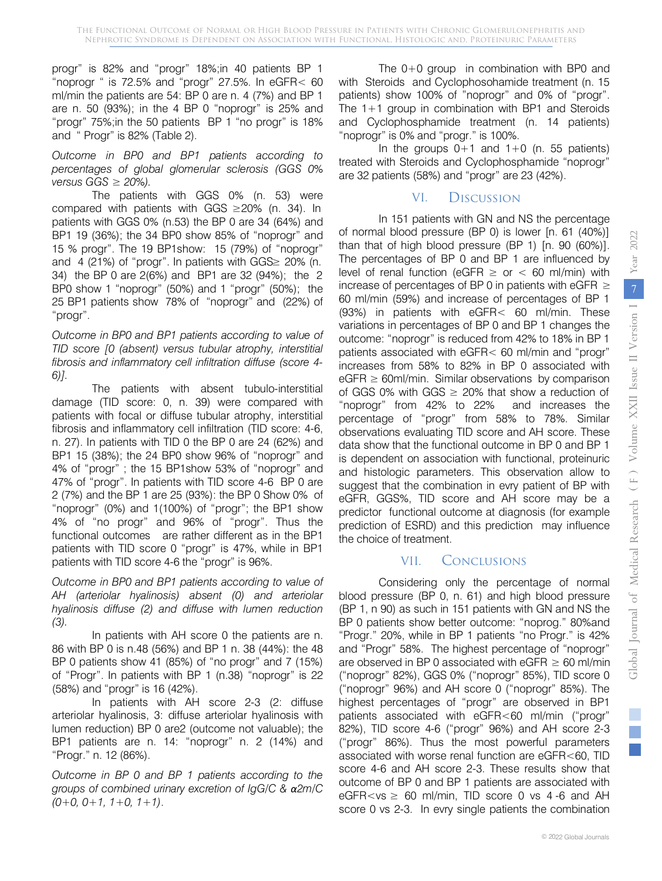progr" is 82% and "progr" 18%;in 40 patients BP 1 "noprogr " is 72.5% and "progr" 27.5%. In eGFR< 60 ml/min the patients are 54: BP 0 are n. 4 (7%) and BP 1 are n. 50 (93%); in the 4 BP 0 "noprogr" is 25% and "progr" 75%;in the 50 patients BP 1 "no progr" is 18% and " Progr" is 82% (Table 2).

*Outcome in BP0 and BP1 patients according to percentages of global glomerular sclerosis (GGS 0% versus GGS ≥ 20%).*

The patients with GGS 0% (n. 53) were compared with patients with GGS  $\geq$ 20% (n. 34). In patients with GGS 0% (n.53) the BP 0 are 34 (64%) and BP1 19 (36%); the 34 BP0 show 85% of "noprogr" and 15 % progr". The 19 BP1show: 15 (79%) of "noprogr" and 4 (21%) of "progr". In patients with GGS≥ 20% (n. 34) the BP 0 are 2(6%) and BP1 are 32 (94%); the 2 BP0 show 1 "noprogr" (50%) and 1 "progr" (50%); the 25 BP1 patients show 78% of "noprogr" and (22%) of "progr".

*Outcome in BP0 and BP1 patients according to value of TID score [0 (absent) versus tubular atrophy, interstitial fibrosis and inflammatory cell infiltration diffuse (score 4- 6)].*

The patients with absent tubulo-interstitial damage (TID score: 0, n. 39) were compared with patients with focal or diffuse tubular atrophy, interstitial fibrosis and inflammatory cell infiltration (TID score: 4-6, n. 27). In patients with TID 0 the BP 0 are 24 (62%) and BP1 15 (38%); the 24 BP0 show 96% of "noprogr" and 4% of "progr" ; the 15 BP1show 53% of "noprogr" and 47% of "progr". In patients with TID score 4-6 BP 0 are 2 (7%) and the BP 1 are 25 (93%): the BP 0 Show 0% of "noprogr" (0%) and 1(100%) of "progr"; the BP1 show 4% of "no progr" and 96% of "progr". Thus the functional outcomes are rather different as in the BP1 patients with TID score 0 "progr" is 47%, while in BP1 patients with TID score 4-6 the "progr" is 96%.

*Outcome in BP0 and BP1 patients according to value of AH (arteriolar hyalinosis) absent (0) and arteriolar hyalinosis diffuse (2) and diffuse with lumen reduction (3).* 

In patients with AH score 0 the patients are n. 86 with BP 0 is n.48 (56%) and BP 1 n. 38 (44%): the 48 BP 0 patients show 41 (85%) of "no progr" and 7 (15%) of "Progr". In patients with BP 1 (n.38) "noprogr" is 22 (58%) and "progr" is 16 (42%).

In patients with AH score 2-3 (2: diffuse arteriolar hyalinosis, 3: diffuse arteriolar hyalinosis with lumen reduction) BP 0 are2 (outcome not valuable); the BP1 patients are n. 14: "noprogr" n. 2 (14%) and "Progr." n. 12 (86%).

*Outcome in BP 0 and BP 1 patients according to the groups of combined urinary excretion of IgG/C & α2m/C (0+0, 0+1, 1+0, 1+1)*.

The 0+0 group in combination with BP0 and with Steroids and Cyclophosohamide treatment (n. 15 patients) show 100% of "noprogr" and 0% of "progr". The 1+1 group in combination with BP1 and Steroids and Cyclophosphamide treatment (n. 14 patients) "noprogr" is 0% and "progr." is 100%.

In the groups  $0+1$  and  $1+0$  (n. 55 patients) treated with Steroids and Cyclophosphamide "noprogr" are 32 patients (58%) and "progr" are 23 (42%).

## VI. Discussion

In 151 patients with GN and NS the percentage of normal blood pressure (BP 0) is lower [n. 61 (40%)] than that of high blood pressure (BP 1) [n. 90 (60%)]. The percentages of BP 0 and BP 1 are influenced by level of renal function (eGFR  $\geq$  or  $<$  60 ml/min) with increase of percentages of BP 0 in patients with eGFR  $\geq$ 60 ml/min (59%) and increase of percentages of BP 1 (93%) in patients with eGFR< 60 ml/min. These variations in percentages of BP 0 and BP 1 changes the outcome: "noprogr" is reduced from 42% to 18% in BP 1 patients associated with eGFR< 60 ml/min and "progr" increases from 58% to 82% in BP 0 associated with  $eGFR \geq 60$ ml/min. Similar observations by comparison of GGS 0% with GGS  $\geq$  20% that show a reduction of "noprogr" from 42% to 22% and increases the percentage of "progr" from 58% to 78%. Similar observations evaluating TID score and AH score. These data show that the functional outcome in BP 0 and BP 1 is dependent on association with functional, proteinuric and histologic parameters. This observation allow to suggest that the combination in evry patient of BP with eGFR, GGS%, TID score and AH score may be a predictor functional outcome at diagnosis (for example prediction of ESRD) and this prediction may influence the choice of treatment.

## VII. Conclusions

Considering only the percentage of normal blood pressure (BP 0, n. 61) and high blood pressure (BP 1, n 90) as such in 151 patients with GN and NS the BP 0 patients show better outcome: "noprog." 80%and "Progr." 20%, while in BP 1 patients "no Progr." is 42% and "Progr" 58%. The highest percentage of "noprogr" are observed in BP 0 associated with eGFR  $\geq$  60 ml/min ("noprogr" 82%), GGS 0% ("noprogr" 85%), TID score 0 ("noprogr" 96%) and AH score 0 ("noprogr" 85%). The highest percentages of "progr" are observed in BP1 patients associated with eGFR<60 ml/min ("progr" 82%), TID score 4-6 ("progr" 96%) and AH score 2-3 ("progr" 86%). Thus the most powerful parameters associated with worse renal function are eGFR<60, TID score 4-6 and AH score 2-3. These results show that outcome of BP 0 and BP 1 patients are associated with eGFR $<$ vs  $\geq$  60 ml/min, TID score 0 vs 4-6 and AH score 0 vs 2-3. In evry single patients the combination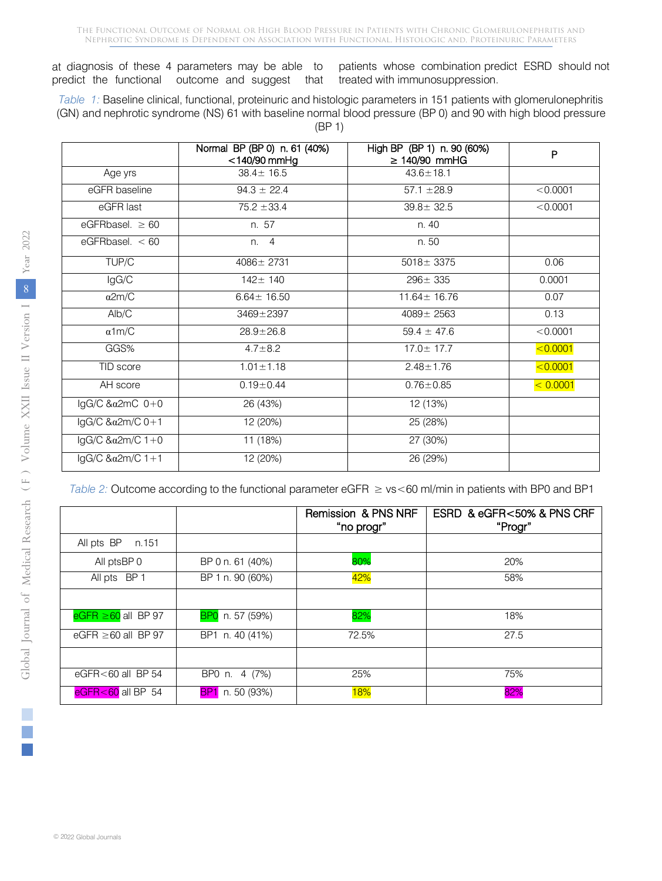The Functional Outcome of Normal or High Blood Pressure in Patients with Chronic Glomerulonephritis and Nephrotic Syndrome is Dependent on Association with Functional, Histologic and, Proteinuric Parameters

at diagnosis of these 4 parameters may be able to predict the functional outcome and suggest that

patients whose combination predict ESRD should not treated with immunosuppression.

*Table 1:* Baseline clinical, functional, proteinuric and histologic parameters in 151 patients with glomerulonephritis (GN) and nephrotic syndrome (NS) 61 with baseline normal blood pressure (BP 0) and 90 with high blood pressure (BP 1)

|                                       | Normal BP (BP 0) n. 61 (40%)<br>$<$ 140/90 mmHg | High BP (BP 1) n. 90 (60%)<br>$\geq$ 140/90 mmHG | P            |
|---------------------------------------|-------------------------------------------------|--------------------------------------------------|--------------|
| Age yrs                               | $38.4 \pm 16.5$                                 | $43.6 \pm 18.1$                                  |              |
| eGFR baseline                         | $94.3 \pm 22.4$                                 | $57.1 \pm 28.9$                                  | < 0.0001     |
| eGFR last                             | $75.2 \pm 33.4$                                 | $39.8 \pm 32.5$                                  | < 0.0001     |
| eGFRbasel. $\geq 60$                  | n. 57                                           | n. 40                                            |              |
| eGFRbasel. $< 60$                     | n. 4                                            | n. 50                                            |              |
| TUP/C                                 | 4086± 2731                                      | $5018 \pm 3375$                                  | 0.06         |
| IgG/C                                 | $142 \pm 140$                                   | $296 \pm 335$                                    | 0.0001       |
| $\alpha$ 2m/C                         | $6.64 \pm 16.50$                                | $11.64 \pm 16.76$                                | 0.07         |
| Alb/C                                 | $3469 + 2397$                                   | $4089 \pm 2563$                                  | 0.13         |
| $\alpha$ 1m/C                         | $28.9 \pm 26.8$                                 | $59.4 \pm 47.6$                                  | < 0.0001     |
| GGS%                                  | $4.7 \pm 8.2$                                   | $17.0 \pm 17.7$                                  | $ $ < 0.0001 |
| TID score                             | $1.01 \pm 1.18$                                 | $2.48 \pm 1.76$                                  | < 0.0001     |
| AH score                              | $0.19 \pm 0.44$                                 | $0.76 \pm 0.85$                                  | < 0.0001     |
| IgG/C & $\alpha$ 2mC $\overline{0+0}$ | 26 (43%)                                        | 12 (13%)                                         |              |
| lgG/C &a2m/C 0+1                      | 12 (20%)                                        | 25 (28%)                                         |              |
| $lgG/C$ & $\alpha$ 2m/C 1+0           | 11 (18%)                                        | 27 (30%)                                         |              |
| $lgG/C$ & $\alpha$ 2m/C 1+1           | 12 (20%)                                        | 26 (29%)                                         |              |

*Table 2:* Outcome according to the functional parameter eGFR ≥ vs<60 ml/min in patients with BP0 and BP1

|                          |                  | Remission & PNS NRF<br>"no progr" | ESRD & eGFR<50% & PNS CRF<br>"Progr" |
|--------------------------|------------------|-----------------------------------|--------------------------------------|
| All pts BP<br>n.151      |                  |                                   |                                      |
| All ptsBP 0              | BP 0 n. 61 (40%) | 80%                               | 20%                                  |
| All pts BP 1             | BP 1 n. 90 (60%) | 42%                               | 58%                                  |
|                          |                  |                                   |                                      |
| $eGFR \ge 60$ all BP 97  | BP0 n. 57 (59%)  | 82%                               | 18%                                  |
| eGFR $\geq$ 60 all BP 97 | BP1 n. 40 (41%)  | 72.5%                             | 27.5                                 |
|                          |                  |                                   |                                      |
| eGFR<60 all BP 54        | BP0 n. 4 (7%)    | 25%                               | 75%                                  |
| $eGFR < 60$ all BP 54    | BP1 n. 50 (93%)  | <b>18%</b>                        | 82%                                  |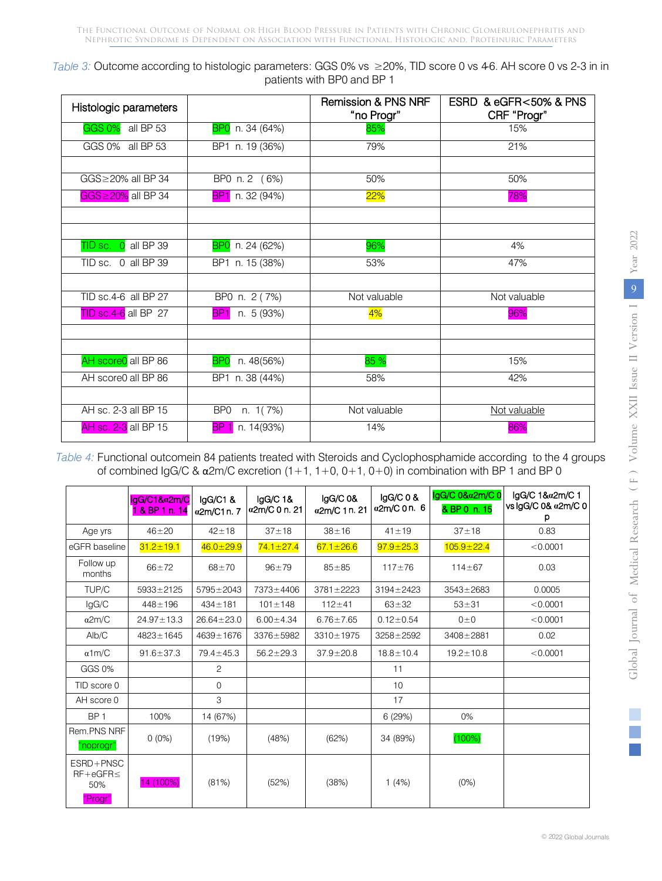| Table 3: Outcome according to histologic parameters: GGS 0% vs ≥20%, TID score 0 vs 46. AH score 0 vs 2-3 in in |  |
|-----------------------------------------------------------------------------------------------------------------|--|
| patients with BP0 and BP 1                                                                                      |  |

| Histologic parameters |                               | <b>Remission &amp; PNS NRF</b><br>"no Progr" | ESRD & eGFR<50% & PNS<br>CRF "Progr" |
|-----------------------|-------------------------------|----------------------------------------------|--------------------------------------|
| GGS 0% all BP 53      | BP0 n. 34 (64%)               | 85%                                          | 15%                                  |
| GGS 0% all BP 53      | BP1 n. 19 (36%)               | 79%                                          | 21%                                  |
|                       |                               |                                              |                                      |
| GGS≥20% all BP 34     | BP0 n. 2 (6%)                 | 50%                                          | 50%                                  |
| GGS≥20% all BP 34     | BP1 n. 32 (94%)               | $22\%$                                       | 78%                                  |
|                       |                               |                                              |                                      |
|                       |                               |                                              |                                      |
| TID sc. 0 all BP 39   | BP0 n. 24 (62%)               | 96%                                          | 4%                                   |
| TID sc. 0 all BP 39   | BP1 n. 15 (38%)               | 53%                                          | 47%                                  |
|                       |                               |                                              |                                      |
| TID sc.4-6 all BP 27  | BP0 n. 2 (7%)                 | Not valuable                                 | Not valuable                         |
| TID sc.4-6 all BP 27  | n. 5 (93%)<br>BP <sub>1</sub> | 4%                                           | 96%                                  |
|                       |                               |                                              |                                      |
|                       |                               |                                              |                                      |
| AH score0 all BP 86   | n. 48(56%)<br><b>BPO</b>      | 85 %                                         | 15%                                  |
| AH score0 all BP 86   | BP1 n. 38 (44%)               | 58%                                          | 42%                                  |
|                       |                               |                                              |                                      |
| AH sc. 2-3 all BP 15  | BP0<br>n. $1(7%)$             | Not valuable                                 | Not valuable                         |
| AH sc. 2-3 all BP 15  | n. 14(93%)<br>BP 1            | 14%                                          | 86%                                  |

*Table 4:* Functional outcomein 84 patients treated with Steroids and Cyclophosphamide according to the 4 groups of combined IgG/C & α2m/C excretion (1+1, 1+0, 0+1, 0+0) in combination with BP 1 and BP 0

|                                                 | lgG/C1&a2m/C<br>1 & BP 1 n. 14 | IgG/C1 &<br>α2m/C1 n.7 | $lgG/C$ 1&<br>α2m/C 0 n. 21 | lgG/C 0&<br>α2m/C 1 n. 21 | $lgG/C$ 0 &<br>α2m/C 0 n. 6 | lgG/C 0&a2m/C 0<br>& BP 0 n. 15 | lgG/C 1&α2m/C 1<br>vs lgG/C 0& a2m/C 0<br>р |
|-------------------------------------------------|--------------------------------|------------------------|-----------------------------|---------------------------|-----------------------------|---------------------------------|---------------------------------------------|
| Age yrs                                         | $46 + 20$                      | $42 + 18$              | $37 + 18$                   | $38 + 16$                 | $41 \pm 19$                 | $37 + 18$                       | 0.83                                        |
| eGFR baseline                                   | $31.2 \pm 19.1$                | $46.0 \pm 29.9$        | $74.1 \pm 27.4$             | $67.1 \pm 26.6$           | $97.9 \pm 25.3$             | $105.9 \pm 22.4$                | < 0.0001                                    |
| Follow up<br>months                             | $66 + 72$                      | $68 + 70$              | $96 + 79$                   | $85 + 85$                 | $117 + 76$                  | $114 + 67$                      | 0.03                                        |
| TUP/C                                           | 5933±2125                      | $5795 \pm 2043$        | 7373±4406                   | $3781 \pm 2223$           | $3194 \pm 2423$             | $3543 \pm 2683$                 | 0.0005                                      |
| lgG/C                                           | $448 \pm 196$                  | $434 \pm 181$          | $101 \pm 148$               | $112 + 41$                | $63 + 32$                   | $53 + 31$                       | < 0.0001                                    |
| $\alpha$ 2m/C                                   | $24.97 \pm 13.3$               | $26.64 \pm 23.0$       | $6.00 \pm 4.34$             | $6.76 \pm 7.65$           | $0.12 \pm 0.54$             | $0\pm 0$                        | < 0.0001                                    |
| Alb/C                                           | 4823±1645                      | 4639±1676              | 3376±5982                   | $3310 \pm 1975$           | $3258 + 2592$               | $3408 + 2881$                   | 0.02                                        |
| $\alpha$ 1m/C                                   | $91.6 \pm 37.3$                | $79.4 \pm 45.3$        | $56.2 \pm 29.3$             | $37.9 \pm 20.8$           | $18.8 \pm 10.4$             | $19.2 \pm 10.8$                 | < 0.0001                                    |
| GGS 0%                                          |                                | 2                      |                             |                           | 11                          |                                 |                                             |
| TID score 0                                     |                                | $\mathsf{O}$           |                             |                           | 10                          |                                 |                                             |
| AH score 0                                      |                                | 3                      |                             |                           | 17                          |                                 |                                             |
| BP <sub>1</sub>                                 | 100%                           | 14 (67%)               |                             |                           | 6(29%)                      | $0\%$                           |                                             |
| Rem.PNS NRF<br>"noprogr"                        | $0(0\%)$                       | (19%)                  | (48%)                       | (62%)                     | 34 (89%)                    | (100%)                          |                                             |
| ESRD+PNSC<br>$RF + eGFR \leq$<br>50%<br>"Progr" | 14 (100%)                      | (81%)                  | (52%)                       | (38%)                     | 1(4%)                       | (0%)                            |                                             |